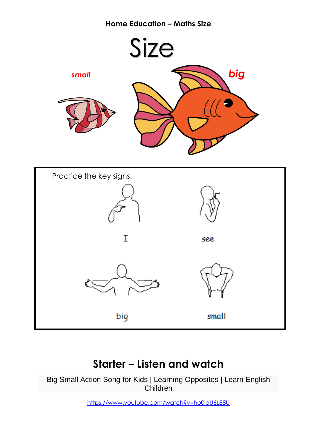### **Home Education – Maths Size**



# **Starter – Listen and watch**

Big Small Action Song for Kids | Learning Opposites | Learn English Children

<https://www.youtube.com/watch?v=ho0jqU6L88U>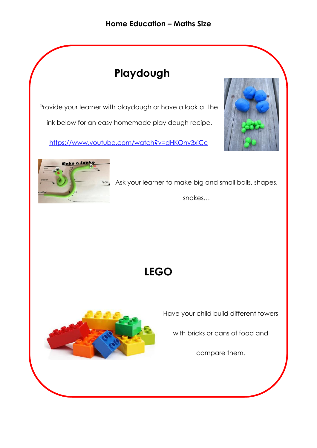### **Home Education – Maths Size**

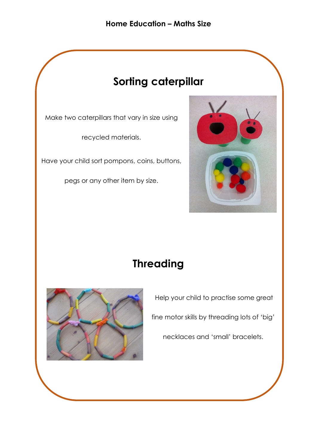#### **Home Education – Maths Size**

# **Sorting caterpillar**

Make two caterpillars that vary in size using

recycled materials.

Have your child sort pompons, coins, buttons,

pegs or any other item by size.



# **Threading**



Help your child to practise some great fine motor skills by threading lots of 'big' necklaces and 'small' bracelets.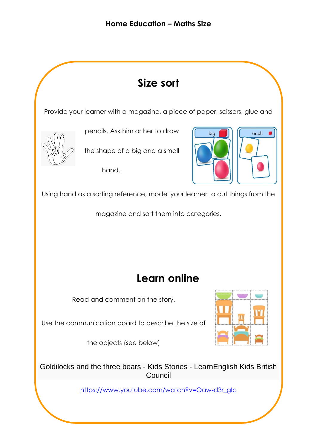

[https://www.youtube.com/watch?v=Oaw-d3r\\_gIc](https://www.youtube.com/watch?v=Oaw-d3r_gIc)